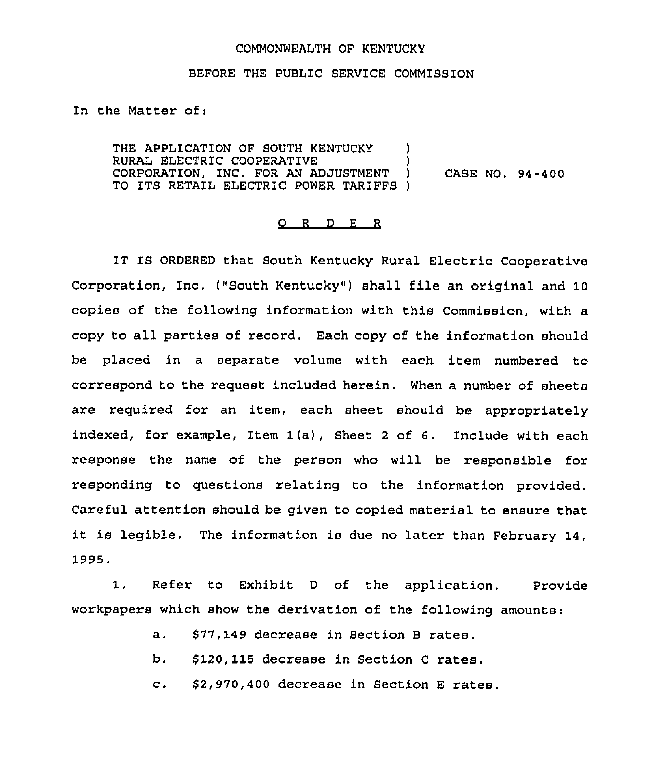## COMMONWEALTH OF KENTUCKY

## BEFORE THE PUBLIC SERVICE COMMISSION

In the Matter of:

THE APPLICATION OF SOUTH KENTUCKY ) RURAL ELECTRIC COOPERATIVE (3) CORPORATION, INC. FOR AN ADJUSTMENT ) CASE NO. 94-400 TO ITS RETAIL ELECTRIC POWER TARIFFS )

## 0 <sup>R</sup> <sup>D</sup> <sup>E</sup> <sup>R</sup>

IT IS ORDERED that South Kentucky Rural Electric Cooperative Corporation, Inc. ("South Kentucky" ) shall file an original and 10 copies of the following information with this Commission, with a copy to all parties of record. Each copy of the information should be placed in a separate volume with each item numbered to correspond to the request included herein. When a number of sheets are required for an item, each sheet should be appropriately indexed, for example, Item 1(a), Sheet <sup>2</sup> of 6. Include with each response the name of the person who will be responsible for responding to questions relating to the information provided. Careful attention should be given to copied material to ensure that it is legible. The information is due no later than February 14, 1995.

1. Refer to Exhibit <sup>D</sup> of the application. Provide workpapers which show the derivation of the following amounts:

- a. \$77,149 decrease in Section <sup>B</sup> rates.
- b. \$120,115 decrease in Section <sup>C</sup> rates.
- c. \$2,970,400 decrease in Section <sup>E</sup> rates.